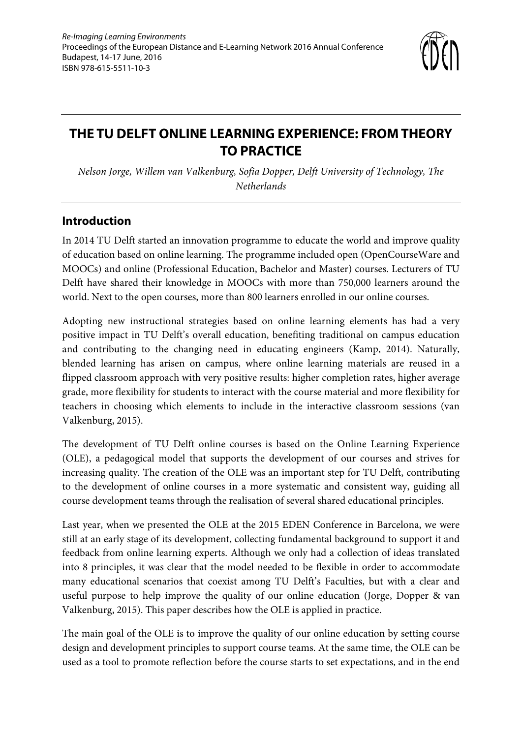

# **THE TU DELFT ONLINE LEARNING EXPERIENCE: FROM THEORY TO PRACTICE**

*Nelson Jorge, Willem van Valkenburg, Sofia Dopper, Delft University of Technology, The Netherlands* 

### **Introduction**

In 2014 TU Delft started an innovation programme to educate the world and improve quality of education based on online learning. The programme included open (OpenCourseWare and MOOCs) and online (Professional Education, Bachelor and Master) courses. Lecturers of TU Delft have shared their knowledge in MOOCs with more than 750,000 learners around the world. Next to the open courses, more than 800 learners enrolled in our online courses.

Adopting new instructional strategies based on online learning elements has had a very positive impact in TU Delft's overall education, benefiting traditional on campus education and contributing to the changing need in educating engineers (Kamp, 2014). Naturally, blended learning has arisen on campus, where online learning materials are reused in a flipped classroom approach with very positive results: higher completion rates, higher average grade, more flexibility for students to interact with the course material and more flexibility for teachers in choosing which elements to include in the interactive classroom sessions (van Valkenburg, 2015).

The development of TU Delft online courses is based on the Online Learning Experience (OLE), a pedagogical model that supports the development of our courses and strives for increasing quality. The creation of the OLE was an important step for TU Delft, contributing to the development of online courses in a more systematic and consistent way, guiding all course development teams through the realisation of several shared educational principles.

Last year, when we presented the OLE at the 2015 EDEN Conference in Barcelona, we were still at an early stage of its development, collecting fundamental background to support it and feedback from online learning experts. Although we only had a collection of ideas translated into 8 principles, it was clear that the model needed to be flexible in order to accommodate many educational scenarios that coexist among TU Delft's Faculties, but with a clear and useful purpose to help improve the quality of our online education (Jorge, Dopper & van Valkenburg, 2015). This paper describes how the OLE is applied in practice.

The main goal of the OLE is to improve the quality of our online education by setting course design and development principles to support course teams. At the same time, the OLE can be used as a tool to promote reflection before the course starts to set expectations, and in the end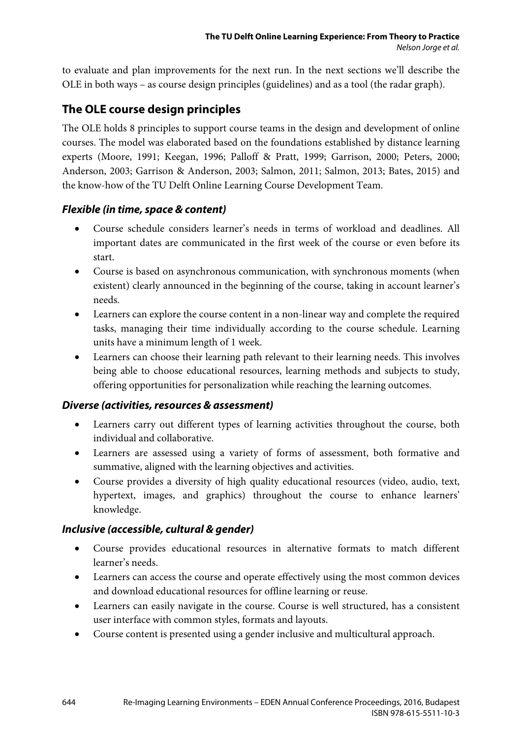to evaluate and plan improvements for the next run. In the next sections we'll describe the OLE in both ways – as course design principles (guidelines) and as a tool (the radar graph).

### **The OLE course design principles**

The OLE holds 8 principles to support course teams in the design and development of online courses. The model was elaborated based on the foundations established by distance learning experts (Moore, 1991; Keegan, 1996; Palloff & Pratt, 1999; Garrison, 2000; Peters, 2000; Anderson, 2003; Garrison & Anderson, 2003; Salmon, 2011; Salmon, 2013; Bates, 2015) and the know-how of the TU Delft Online Learning Course Development Team.

#### *Flexible (in time, space & content)*

- Course schedule considers learner's needs in terms of workload and deadlines. All important dates are communicated in the first week of the course or even before its start.
- Course is based on asynchronous communication, with synchronous moments (when existent) clearly announced in the beginning of the course, taking in account learner's needs.
- Learners can explore the course content in a non-linear way and complete the required tasks, managing their time individually according to the course schedule. Learning units have a minimum length of 1 week.
- Learners can choose their learning path relevant to their learning needs. This involves being able to choose educational resources, learning methods and subjects to study, offering opportunities for personalization while reaching the learning outcomes.

#### *Diverse (activities, resources & assessment)*

- Learners carry out different types of learning activities throughout the course, both individual and collaborative.
- Learners are assessed using a variety of forms of assessment, both formative and summative, aligned with the learning objectives and activities.
- Course provides a diversity of high quality educational resources (video, audio, text, hypertext, images, and graphics) throughout the course to enhance learners' knowledge.

#### *Inclusive (accessible, cultural & gender)*

- Course provides educational resources in alternative formats to match different learner's needs.
- Learners can access the course and operate effectively using the most common devices and download educational resources for offline learning or reuse.
- Learners can easily navigate in the course. Course is well structured, has a consistent user interface with common styles, formats and layouts.
- Course content is presented using a gender inclusive and multicultural approach.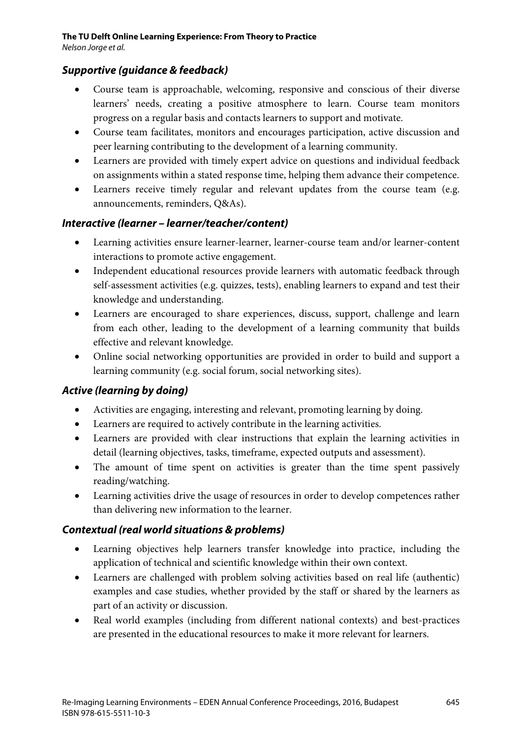### *Supportive (guidance & feedback)*

- Course team is approachable, welcoming, responsive and conscious of their diverse learners' needs, creating a positive atmosphere to learn. Course team monitors progress on a regular basis and contacts learners to support and motivate.
- Course team facilitates, monitors and encourages participation, active discussion and peer learning contributing to the development of a learning community.
- Learners are provided with timely expert advice on questions and individual feedback on assignments within a stated response time, helping them advance their competence.
- Learners receive timely regular and relevant updates from the course team (e.g. announcements, reminders, Q&As).

#### *Interactive (learner – learner/teacher/content)*

- Learning activities ensure learner-learner, learner-course team and/or learner-content interactions to promote active engagement.
- Independent educational resources provide learners with automatic feedback through self-assessment activities (e.g. quizzes, tests), enabling learners to expand and test their knowledge and understanding.
- Learners are encouraged to share experiences, discuss, support, challenge and learn from each other, leading to the development of a learning community that builds effective and relevant knowledge.
- Online social networking opportunities are provided in order to build and support a learning community (e.g. social forum, social networking sites).

#### *Active (learning by doing)*

- Activities are engaging, interesting and relevant, promoting learning by doing.
- Learners are required to actively contribute in the learning activities.
- Learners are provided with clear instructions that explain the learning activities in detail (learning objectives, tasks, timeframe, expected outputs and assessment).
- The amount of time spent on activities is greater than the time spent passively reading/watching.
- Learning activities drive the usage of resources in order to develop competences rather than delivering new information to the learner.

#### *Contextual (real world situations & problems)*

- Learning objectives help learners transfer knowledge into practice, including the application of technical and scientific knowledge within their own context.
- Learners are challenged with problem solving activities based on real life (authentic) examples and case studies, whether provided by the staff or shared by the learners as part of an activity or discussion.
- Real world examples (including from different national contexts) and best-practices are presented in the educational resources to make it more relevant for learners.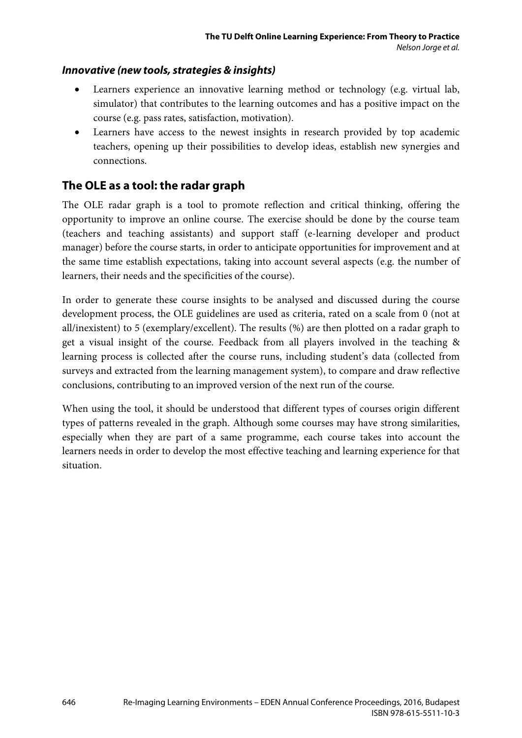#### *Innovative (new tools, strategies & insights)*

- Learners experience an innovative learning method or technology (e.g. virtual lab, simulator) that contributes to the learning outcomes and has a positive impact on the course (e.g. pass rates, satisfaction, motivation).
- Learners have access to the newest insights in research provided by top academic teachers, opening up their possibilities to develop ideas, establish new synergies and connections.

### **The OLE as a tool: the radar graph**

The OLE radar graph is a tool to promote reflection and critical thinking, offering the opportunity to improve an online course. The exercise should be done by the course team (teachers and teaching assistants) and support staff (e-learning developer and product manager) before the course starts, in order to anticipate opportunities for improvement and at the same time establish expectations, taking into account several aspects (e.g. the number of learners, their needs and the specificities of the course).

In order to generate these course insights to be analysed and discussed during the course development process, the OLE guidelines are used as criteria, rated on a scale from 0 (not at all/inexistent) to 5 (exemplary/excellent). The results (%) are then plotted on a radar graph to get a visual insight of the course. Feedback from all players involved in the teaching & learning process is collected after the course runs, including student's data (collected from surveys and extracted from the learning management system), to compare and draw reflective conclusions, contributing to an improved version of the next run of the course.

When using the tool, it should be understood that different types of courses origin different types of patterns revealed in the graph. Although some courses may have strong similarities, especially when they are part of a same programme, each course takes into account the learners needs in order to develop the most effective teaching and learning experience for that situation.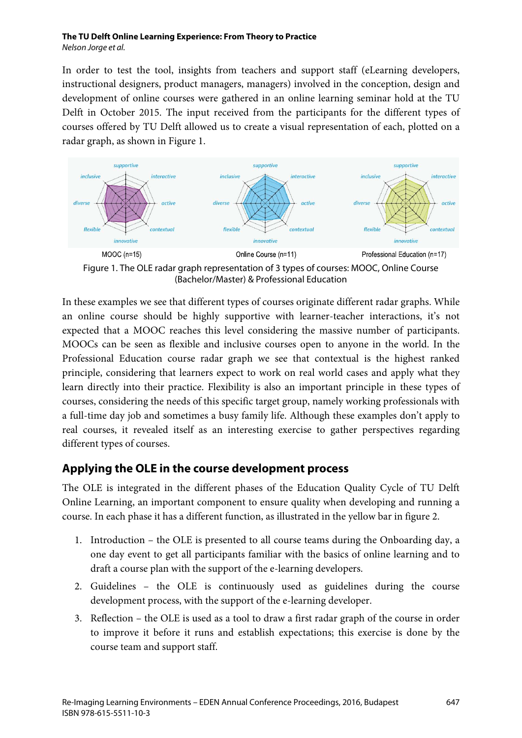#### **The TU Delft Online Learning Experience: From Theory to Practice** *Nelson Jorge et al.*

In order to test the tool, insights from teachers and support staff (eLearning developers, instructional designers, product managers, managers) involved in the conception, design and development of online courses were gathered in an online learning seminar hold at the TU Delft in October 2015. The input received from the participants for the different types of courses offered by TU Delft allowed us to create a visual representation of each, plotted on a radar graph, as shown in Figure 1.



Figure 1. The OLE radar graph representation of 3 types of courses: MOOC, Online Course (Bachelor/Master) & Professional Education

In these examples we see that different types of courses originate different radar graphs. While an online course should be highly supportive with learner-teacher interactions, it's not expected that a MOOC reaches this level considering the massive number of participants. MOOCs can be seen as flexible and inclusive courses open to anyone in the world. In the Professional Education course radar graph we see that contextual is the highest ranked principle, considering that learners expect to work on real world cases and apply what they learn directly into their practice. Flexibility is also an important principle in these types of courses, considering the needs of this specific target group, namely working professionals with a full-time day job and sometimes a busy family life. Although these examples don't apply to real courses, it revealed itself as an interesting exercise to gather perspectives regarding different types of courses.

## **Applying the OLE in the course development process**

The OLE is integrated in the different phases of the Education Quality Cycle of TU Delft Online Learning, an important component to ensure quality when developing and running a course. In each phase it has a different function, as illustrated in the yellow bar in figure 2.

- 1. Introduction the OLE is presented to all course teams during the Onboarding day, a one day event to get all participants familiar with the basics of online learning and to draft a course plan with the support of the e-learning developers.
- 2. Guidelines the OLE is continuously used as guidelines during the course development process, with the support of the e-learning developer.
- 3. Reflection the OLE is used as a tool to draw a first radar graph of the course in order to improve it before it runs and establish expectations; this exercise is done by the course team and support staff.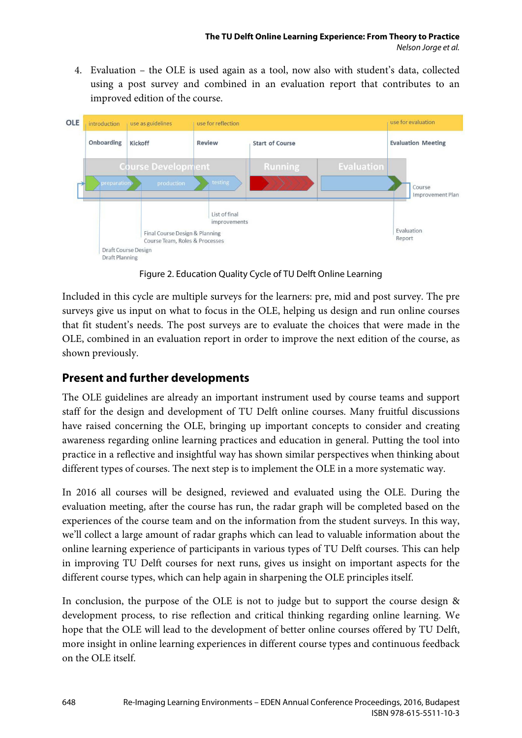4. Evaluation – the OLE is used again as a tool, now also with student's data, collected using a post survey and combined in an evaluation report that contributes to an improved edition of the course.



Figure 2. Education Quality Cycle of TU Delft Online Learning

Included in this cycle are multiple surveys for the learners: pre, mid and post survey. The pre surveys give us input on what to focus in the OLE, helping us design and run online courses that fit student's needs. The post surveys are to evaluate the choices that were made in the OLE, combined in an evaluation report in order to improve the next edition of the course, as shown previously.

## **Present and further developments**

The OLE guidelines are already an important instrument used by course teams and support staff for the design and development of TU Delft online courses. Many fruitful discussions have raised concerning the OLE, bringing up important concepts to consider and creating awareness regarding online learning practices and education in general. Putting the tool into practice in a reflective and insightful way has shown similar perspectives when thinking about different types of courses. The next step is to implement the OLE in a more systematic way.

In 2016 all courses will be designed, reviewed and evaluated using the OLE. During the evaluation meeting, after the course has run, the radar graph will be completed based on the experiences of the course team and on the information from the student surveys. In this way, we'll collect a large amount of radar graphs which can lead to valuable information about the online learning experience of participants in various types of TU Delft courses. This can help in improving TU Delft courses for next runs, gives us insight on important aspects for the different course types, which can help again in sharpening the OLE principles itself.

In conclusion, the purpose of the OLE is not to judge but to support the course design & development process, to rise reflection and critical thinking regarding online learning. We hope that the OLE will lead to the development of better online courses offered by TU Delft, more insight in online learning experiences in different course types and continuous feedback on the OLE itself.